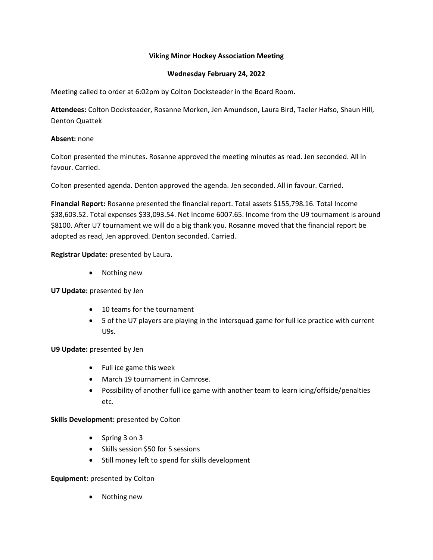# **Viking Minor Hockey Association Meeting**

# **Wednesday February 24, 2022**

Meeting called to order at 6:02pm by Colton Docksteader in the Board Room.

**Attendees:** Colton Docksteader, Rosanne Morken, Jen Amundson, Laura Bird, Taeler Hafso, Shaun Hill, Denton Quattek

# **Absent:** none

Colton presented the minutes. Rosanne approved the meeting minutes as read. Jen seconded. All in favour. Carried.

Colton presented agenda. Denton approved the agenda. Jen seconded. All in favour. Carried.

**Financial Report:** Rosanne presented the financial report. Total assets \$155,798.16. Total Income \$38,603.52. Total expenses \$33,093.54. Net Income 6007.65. Income from the U9 tournament is around \$8100. After U7 tournament we will do a big thank you. Rosanne moved that the financial report be adopted as read, Jen approved. Denton seconded. Carried.

# **Registrar Update:** presented by Laura.

• Nothing new

## **U7 Update:** presented by Jen

- 10 teams for the tournament
- 5 of the U7 players are playing in the intersquad game for full ice practice with current U9s.

## **U9 Update:** presented by Jen

- Full ice game this week
- March 19 tournament in Camrose.
- Possibility of another full ice game with another team to learn icing/offside/penalties etc.

## **Skills Development:** presented by Colton

- Spring 3 on 3
- Skills session \$50 for 5 sessions
- Still money left to spend for skills development

## **Equipment:** presented by Colton

• Nothing new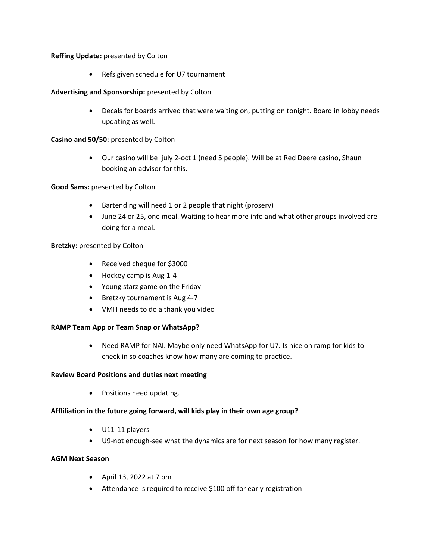# **Reffing Update:** presented by Colton

• Refs given schedule for U7 tournament

# **Advertising and Sponsorship:** presented by Colton

• Decals for boards arrived that were waiting on, putting on tonight. Board in lobby needs updating as well.

# **Casino and 50/50:** presented by Colton

• Our casino will be july 2-oct 1 (need 5 people). Will be at Red Deere casino, Shaun booking an advisor for this.

# **Good Sams:** presented by Colton

- Bartending will need 1 or 2 people that night (proserv)
- June 24 or 25, one meal. Waiting to hear more info and what other groups involved are doing for a meal.

# **Bretzky:** presented by Colton

- Received cheque for \$3000
- Hockey camp is Aug 1-4
- Young starz game on the Friday
- Bretzky tournament is Aug 4-7
- VMH needs to do a thank you video

## **RAMP Team App or Team Snap or WhatsApp?**

• Need RAMP for NAI. Maybe only need WhatsApp for U7. Is nice on ramp for kids to check in so coaches know how many are coming to practice.

## **Review Board Positions and duties next meeting**

• Positions need updating.

## **Affliliation in the future going forward, will kids play in their own age group?**

- U11-11 players
- U9-not enough-see what the dynamics are for next season for how many register.

## **AGM Next Season**

- April 13, 2022 at 7 pm
- Attendance is required to receive \$100 off for early registration